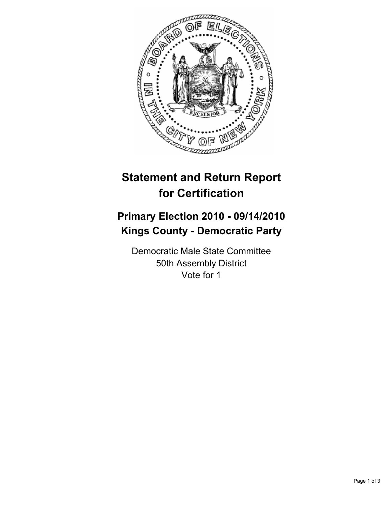

# **Statement and Return Report for Certification**

## **Primary Election 2010 - 09/14/2010 Kings County - Democratic Party**

Democratic Male State Committee 50th Assembly District Vote for 1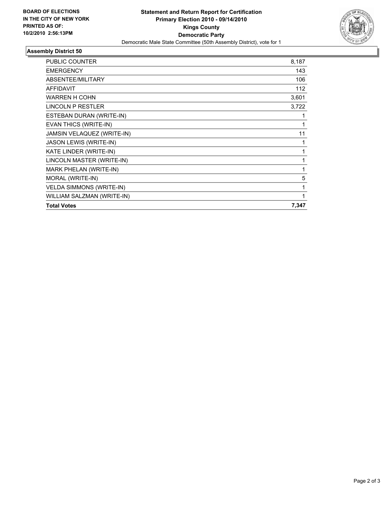

## **Assembly District 50**

| <b>Total Votes</b>              | 7,347 |
|---------------------------------|-------|
| WILLIAM SALZMAN (WRITE-IN)      | 1     |
| <b>VELDA SIMMONS (WRITE-IN)</b> | 1     |
| MORAL (WRITE-IN)                | 5     |
| <b>MARK PHELAN (WRITE-IN)</b>   | 1     |
| LINCOLN MASTER (WRITE-IN)       | 1     |
| KATE LINDER (WRITE-IN)          | 1     |
| JASON LEWIS (WRITE-IN)          | 1     |
| JAMSIN VELAQUEZ (WRITE-IN)      | 11    |
| EVAN THICS (WRITE-IN)           | 1     |
| ESTEBAN DURAN (WRITE-IN)        | 1     |
| <b>LINCOLN P RESTLER</b>        | 3,722 |
| <b>WARREN H COHN</b>            | 3,601 |
| <b>AFFIDAVIT</b>                | 112   |
| ABSENTEE/MILITARY               | 106   |
| <b>EMERGENCY</b>                | 143   |
| <b>PUBLIC COUNTER</b>           | 8,187 |